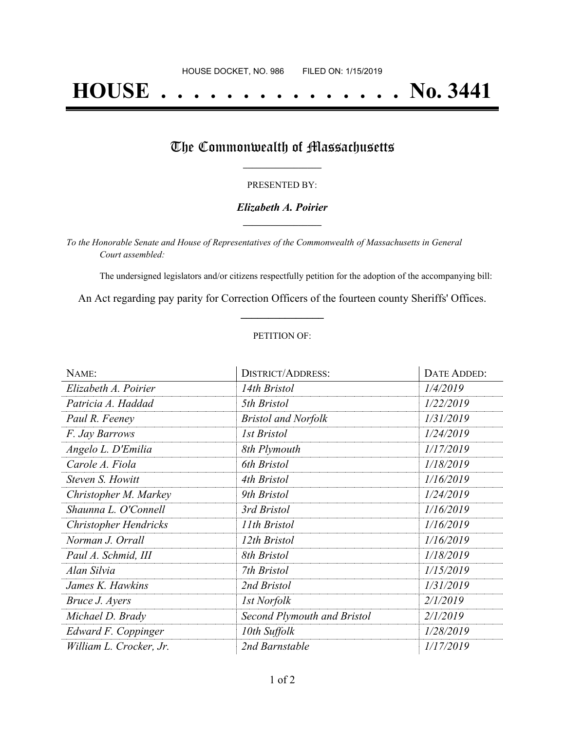# **HOUSE . . . . . . . . . . . . . . . No. 3441**

### The Commonwealth of Massachusetts

#### PRESENTED BY:

#### *Elizabeth A. Poirier* **\_\_\_\_\_\_\_\_\_\_\_\_\_\_\_\_\_**

*To the Honorable Senate and House of Representatives of the Commonwealth of Massachusetts in General Court assembled:*

The undersigned legislators and/or citizens respectfully petition for the adoption of the accompanying bill:

An Act regarding pay parity for Correction Officers of the fourteen county Sheriffs' Offices. **\_\_\_\_\_\_\_\_\_\_\_\_\_\_\_**

#### PETITION OF:

| NAME:                   | <b>DISTRICT/ADDRESS:</b>    | DATE ADDED: |
|-------------------------|-----------------------------|-------------|
| Elizabeth A. Poirier    | 14th Bristol                | 1/4/2019    |
| Patricia A. Haddad      | 5th Bristol                 | 1/22/2019   |
| Paul R. Feeney          | <b>Bristol and Norfolk</b>  | 1/31/2019   |
| F. Jay Barrows          | 1st Bristol                 | 1/24/2019   |
| Angelo L. D'Emilia      | 8th Plymouth                | 1/17/2019   |
| Carole A. Fiola         | 6th Bristol                 | 1/18/2019   |
| Steven S. Howitt        | 4th Bristol                 | 1/16/2019   |
| Christopher M. Markey   | 9th Bristol                 | 1/24/2019   |
| Shaunna L. O'Connell    | 3rd Bristol                 | 1/16/2019   |
| Christopher Hendricks   | 11th Bristol                | 1/16/2019   |
| Norman J. Orrall        | 12th Bristol                | 1/16/2019   |
| Paul A. Schmid, III     | 8th Bristol                 | 1/18/2019   |
| Alan Silvia             | 7th Bristol                 | 1/15/2019   |
| James K. Hawkins        | 2nd Bristol                 | 1/31/2019   |
| Bruce J. Ayers          | 1st Norfolk                 | 2/1/2019    |
| Michael D. Brady        | Second Plymouth and Bristol | 2/1/2019    |
| Edward F. Coppinger     | 10th Suffolk                | 1/28/2019   |
| William L. Crocker, Jr. | 2nd Barnstable              | 1/17/2019   |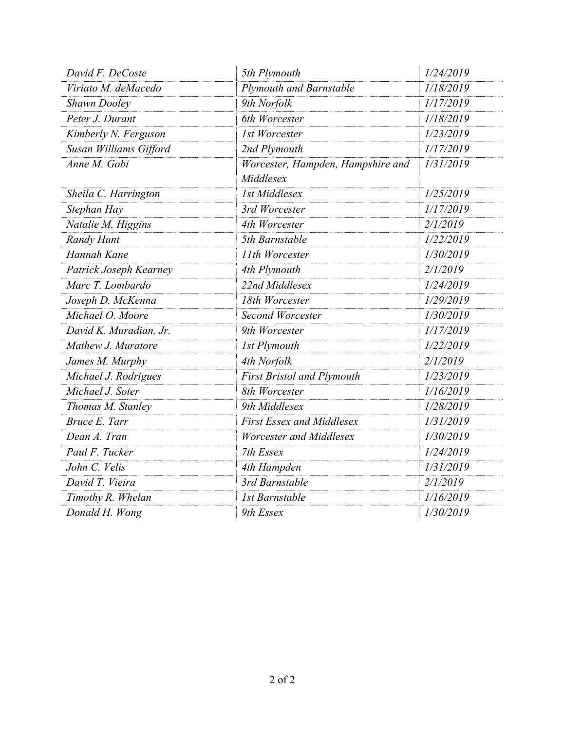| David F. DeCoste       | 5th Plymouth                                   | 1/24/2019 |
|------------------------|------------------------------------------------|-----------|
| Viriato M. deMacedo    | Plymouth and Barnstable                        | 1/18/2019 |
| <b>Shawn Dooley</b>    | 9th Norfolk                                    | 1/17/2019 |
| Peter J. Durant        | 6th Worcester                                  | 1/18/2019 |
| Kimberly N. Ferguson   | 1st Worcester                                  | 1/23/2019 |
| Susan Williams Gifford | 2nd Plymouth                                   | 1/17/2019 |
| Anne M. Gobi           | Worcester, Hampden, Hampshire and<br>Middlesex | 1/31/2019 |
| Sheila C. Harrington   | <b>1st Middlesex</b>                           | 1/25/2019 |
| Stephan Hay            | 3rd Worcester                                  | 1/17/2019 |
| Natalie M. Higgins     | 4th Worcester                                  | 2/1/2019  |
| Randy Hunt             | 5th Barnstable                                 | 1/22/2019 |
| Hannah Kane            | 11th Worcester                                 | 1/30/2019 |
| Patrick Joseph Kearney | 4th Plymouth                                   | 2/1/2019  |
| Marc T. Lombardo       | 22nd Middlesex                                 | 1/24/2019 |
| Joseph D. McKenna      | 18th Worcester                                 | 1/29/2019 |
| Michael O. Moore       | <b>Second Worcester</b>                        | 1/30/2019 |
| David K. Muradian, Jr. | 9th Worcester                                  | 1/17/2019 |
| Mathew J. Muratore     | 1st Plymouth                                   | 1/22/2019 |
| James M. Murphy        | 4th Norfolk                                    | 2/1/2019  |
| Michael J. Rodrigues   | <b>First Bristol and Plymouth</b>              | 1/23/2019 |
| Michael J. Soter       | 8th Worcester                                  | 1/16/2019 |
| Thomas M. Stanley      | 9th Middlesex                                  | 1/28/2019 |
| Bruce E. Tarr          | <b>First Essex and Middlesex</b>               | 1/31/2019 |
| Dean A. Tran           | Worcester and Middlesex                        | 1/30/2019 |
| Paul F. Tucker         | 7th Essex                                      | 1/24/2019 |
| John C. Velis          | 4th Hampden                                    | 1/31/2019 |
| David T. Vieira        | 3rd Barnstable                                 | 2/1/2019  |
| Timothy R. Whelan      | 1st Barnstable                                 | 1/16/2019 |
| Donald H. Wong         | 9th Essex                                      | 1/30/2019 |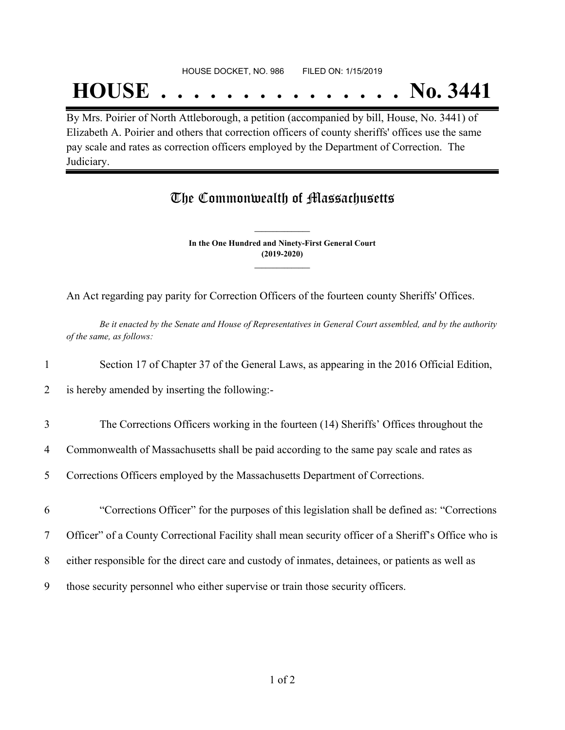## **HOUSE . . . . . . . . . . . . . . . No. 3441**

By Mrs. Poirier of North Attleborough, a petition (accompanied by bill, House, No. 3441) of Elizabeth A. Poirier and others that correction officers of county sheriffs' offices use the same pay scale and rates as correction officers employed by the Department of Correction. The Judiciary.

## The Commonwealth of Massachusetts

**In the One Hundred and Ninety-First General Court (2019-2020) \_\_\_\_\_\_\_\_\_\_\_\_\_\_\_**

**\_\_\_\_\_\_\_\_\_\_\_\_\_\_\_**

An Act regarding pay parity for Correction Officers of the fourteen county Sheriffs' Offices.

Be it enacted by the Senate and House of Representatives in General Court assembled, and by the authority *of the same, as follows:*

1 Section 17 of Chapter 37 of the General Laws, as appearing in the 2016 Official Edition,

2 is hereby amended by inserting the following:-

- 3 The Corrections Officers working in the fourteen (14) Sheriffs' Offices throughout the
- 4 Commonwealth of Massachusetts shall be paid according to the same pay scale and rates as
- 5 Corrections Officers employed by the Massachusetts Department of Corrections.
- 6 "Corrections Officer" for the purposes of this legislation shall be defined as: "Corrections

7 Officer" of a County Correctional Facility shall mean security officer of a Sheriff's Office who is

- 8 either responsible for the direct care and custody of inmates, detainees, or patients as well as
- 9 those security personnel who either supervise or train those security officers.